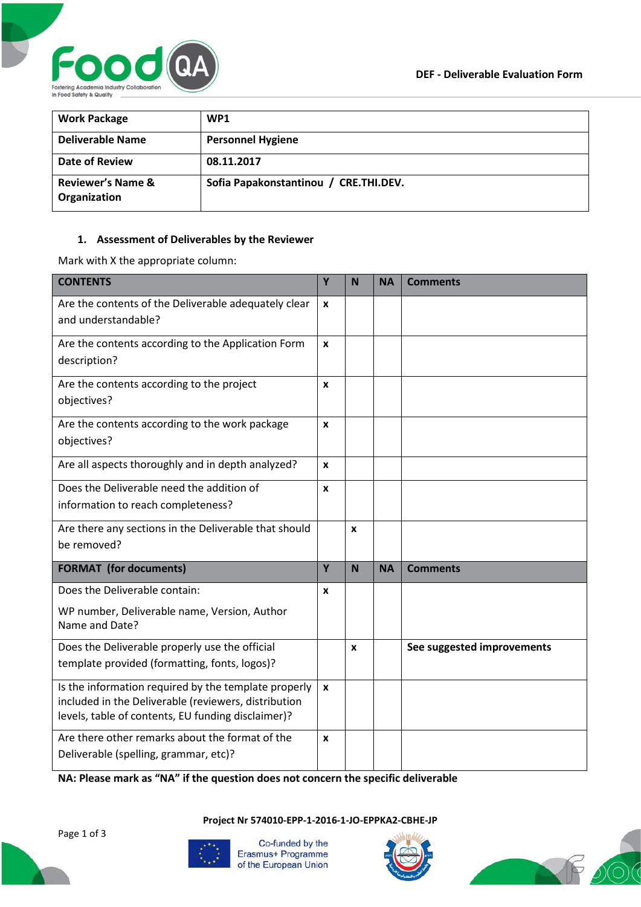

| <b>Work Package</b>                          | WP <sub>1</sub>                       |
|----------------------------------------------|---------------------------------------|
| <b>Deliverable Name</b>                      | <b>Personnel Hygiene</b>              |
| Date of Review                               | 08.11.2017                            |
| <b>Reviewer's Name &amp;</b><br>Organization | Sofia Papakonstantinou / CRE.THI.DEV. |

## **1. Assessment of Deliverables by the Reviewer**

Mark with X the appropriate column:

| <b>CONTENTS</b>                                                                                                                                                    | Y                  | N                | <b>NA</b> | <b>Comments</b>            |
|--------------------------------------------------------------------------------------------------------------------------------------------------------------------|--------------------|------------------|-----------|----------------------------|
| Are the contents of the Deliverable adequately clear<br>and understandable?                                                                                        | $\mathbf{x}$       |                  |           |                            |
| Are the contents according to the Application Form<br>description?                                                                                                 | $\mathbf{x}$       |                  |           |                            |
| Are the contents according to the project<br>objectives?                                                                                                           | $\mathbf{x}$       |                  |           |                            |
| Are the contents according to the work package<br>objectives?                                                                                                      | X                  |                  |           |                            |
| Are all aspects thoroughly and in depth analyzed?                                                                                                                  | X                  |                  |           |                            |
| Does the Deliverable need the addition of<br>information to reach completeness?                                                                                    | $\mathbf{x}$       |                  |           |                            |
| Are there any sections in the Deliverable that should<br>be removed?                                                                                               |                    | $\boldsymbol{x}$ |           |                            |
| <b>FORMAT</b> (for documents)                                                                                                                                      | Y                  | N                | <b>NA</b> | <b>Comments</b>            |
| Does the Deliverable contain:                                                                                                                                      | X                  |                  |           |                            |
| WP number, Deliverable name, Version, Author<br>Name and Date?                                                                                                     |                    |                  |           |                            |
| Does the Deliverable properly use the official<br>template provided (formatting, fonts, logos)?                                                                    |                    | X                |           | See suggested improvements |
| Is the information required by the template properly<br>included in the Deliverable (reviewers, distribution<br>levels, table of contents, EU funding disclaimer)? | $\pmb{\mathsf{x}}$ |                  |           |                            |
| Are there other remarks about the format of the<br>Deliverable (spelling, grammar, etc)?                                                                           | $\boldsymbol{x}$   |                  |           |                            |

**NA: Please mark as "NA" if the question does not concern the specific deliverable**

**Project Nr 574010-EPP-1-2016-1-JO-EPPKA2-CBHE-JP**





Co-funded by the Erasmus+ Programme of the European Union



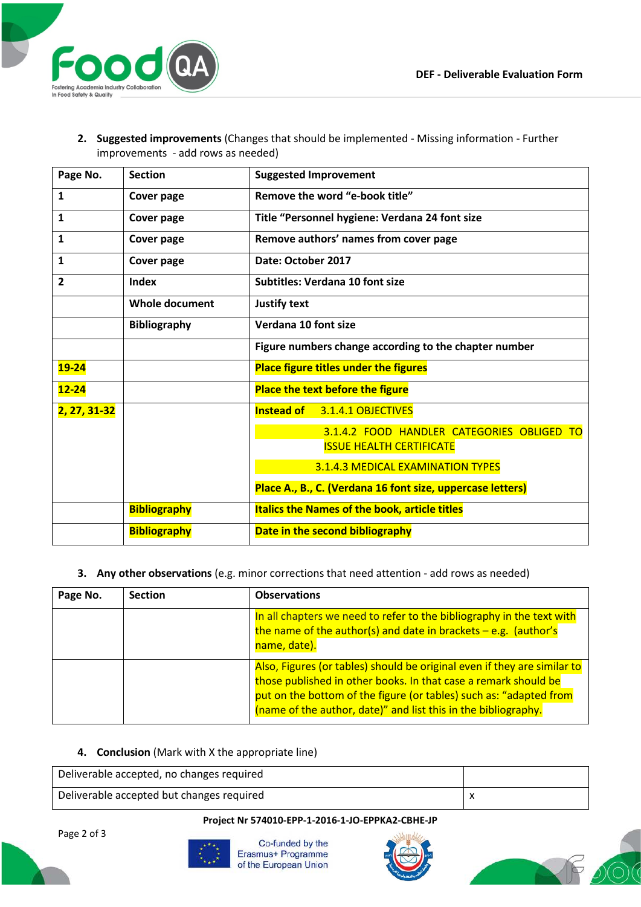

**2. Suggested improvements** (Changes that should be implemented - Missing information - Further improvements - add rows as needed)

| Page No.     | <b>Section</b>      | <b>Suggested Improvement</b>                               |  |  |
|--------------|---------------------|------------------------------------------------------------|--|--|
| $\mathbf{1}$ | <b>Cover page</b>   | Remove the word "e-book title"                             |  |  |
| $\mathbf{1}$ | Cover page          | Title "Personnel hygiene: Verdana 24 font size             |  |  |
| $\mathbf{1}$ | Cover page          | Remove authors' names from cover page                      |  |  |
| 1            | Cover page          | Date: October 2017                                         |  |  |
| 2            | <b>Index</b>        | <b>Subtitles: Verdana 10 font size</b>                     |  |  |
|              | Whole document      | Justify text                                               |  |  |
|              | <b>Bibliography</b> | Verdana 10 font size                                       |  |  |
|              |                     | Figure numbers change according to the chapter number      |  |  |
| $19 - 24$    |                     | <b>Place figure titles under the figures</b>               |  |  |
| $12 - 24$    |                     | <b>Place the text before the figure</b>                    |  |  |
| 2, 27, 31-32 |                     | Instead of 3.1.4.1 OBJECTIVES                              |  |  |
|              |                     | 3.1.4.2 FOOD HANDLER CATEGORIES OBLIGED TO                 |  |  |
|              |                     | <b>ISSUE HEALTH CERTIFICATE</b>                            |  |  |
|              |                     | 3.1.4.3 MEDICAL EXAMINATION TYPES                          |  |  |
|              |                     | Place A., B., C. (Verdana 16 font size, uppercase letters) |  |  |
|              | <b>Bibliography</b> | <b>Italics the Names of the book, article titles</b>       |  |  |
|              | <b>Bibliography</b> | Date in the second bibliography                            |  |  |

**3. Any other observations** (e.g. minor corrections that need attention - add rows as needed)

| Page No. | <b>Section</b> | <b>Observations</b>                                                                                                                                                                                                                                                                 |
|----------|----------------|-------------------------------------------------------------------------------------------------------------------------------------------------------------------------------------------------------------------------------------------------------------------------------------|
|          |                | In all chapters we need to refer to the bibliography in the text with<br>the name of the author(s) and date in brackets $-e.g.$ (author's<br>name, date).                                                                                                                           |
|          |                | Also, Figures (or tables) should be original even if they are similar to<br>those published in other books. In that case a remark should be<br>put on the bottom of the figure (or tables) such as: "adapted from<br>(name of the author, date)" and list this in the bibliography. |

## **4. Conclusion** (Mark with X the appropriate line)

Deliverable accepted, no changes required Deliverable accepted but changes required x

## **Project Nr 574010-EPP-1-2016-1-JO-EPPKA2-CBHE-JP**

Page 2 of 3